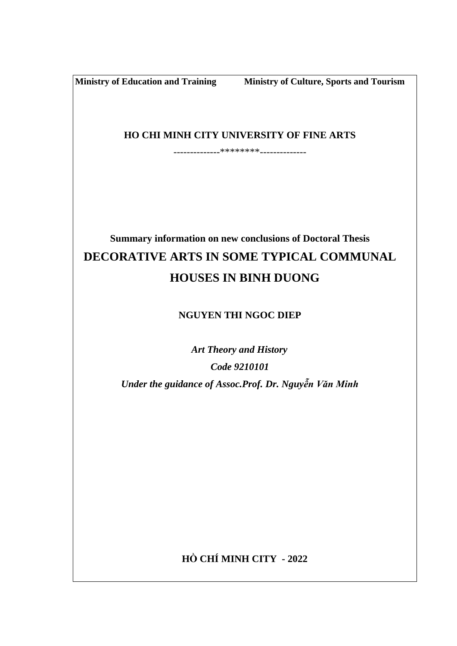**Ministry of Education and Training Ministry of Culture, Sports and Tourism**

**HO CHI MINH CITY UNIVERSITY OF FINE ARTS**

--------------\*\*\*\*\*\*\*\*--------------

# **Summary information on new conclusions of Doctoral Thesis DECORATIVE ARTS IN SOME TYPICAL COMMUNAL HOUSES IN BINH DUONG**

## **NGUYEN THI NGOC DIEP**

 *Art Theory and History Code 9210101 Under the guidance of Assoc.Prof. Dr. Nguyễn Văn Minh*

**HỒ CHÍ MINH CITY - 2022**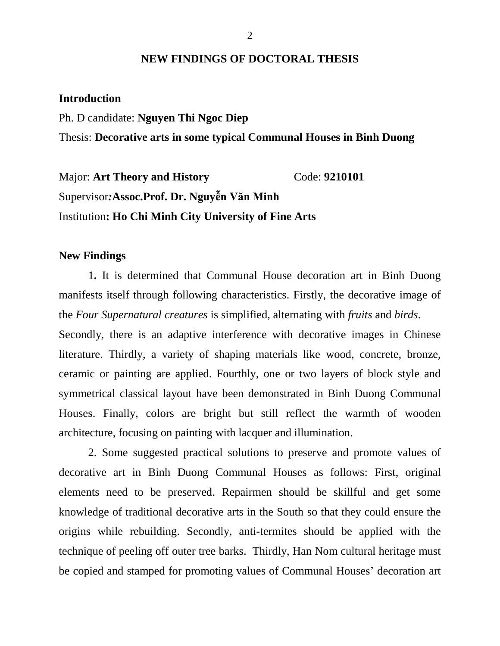### **NEW FINDINGS OF DOCTORAL THESIS**

#### **Introduction**

Ph. D candidate: **Nguyen Thi Ngoc Diep** Thesis: **Decorative arts in some typical Communal Houses in Binh Duong**

Major: **Art Theory and History** Code: 9210101 Supervisor*:***Assoc.Prof. Dr. Nguyễn Văn Minh** Institution**: Ho Chi Minh City University of Fine Arts**

### **New Findings**

1**.** It is determined that Communal House decoration art in Binh Duong manifests itself through following characteristics. Firstly, the decorative image of the *Four Supernatural creatures* is simplified, alternating with *fruits* and *birds*.

Secondly, there is an adaptive interference with decorative images in Chinese literature. Thirdly, a variety of shaping materials like wood, concrete, bronze, ceramic or painting are applied. Fourthly, one or two layers of block style and symmetrical classical layout have been demonstrated in Binh Duong Communal Houses. Finally, colors are bright but still reflect the warmth of wooden architecture, focusing on painting with lacquer and illumination.

2. Some suggested practical solutions to preserve and promote values of decorative art in Binh Duong Communal Houses as follows: First, original elements need to be preserved. Repairmen should be skillful and get some knowledge of traditional decorative arts in the South so that they could ensure the origins while rebuilding. Secondly, anti-termites should be applied with the technique of peeling off outer tree barks. Thirdly, Han Nom cultural heritage must be copied and stamped for promoting values of Communal Houses' decoration art